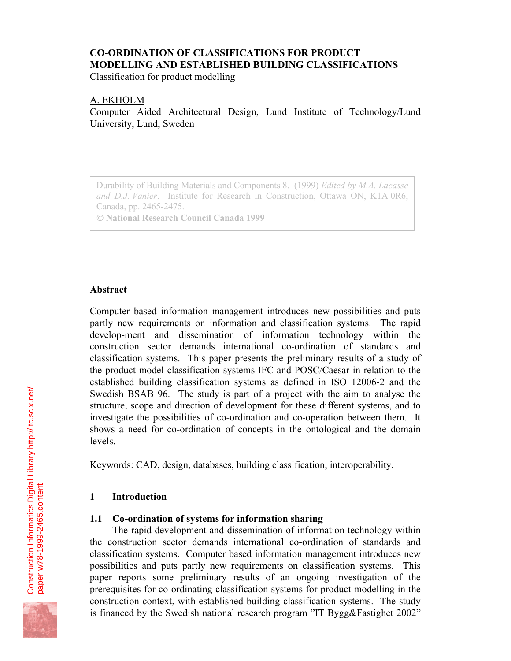# **CO-ORDINATION OF CLASSIFICATIONS FOR PRODUCT MODELLING AND ESTABLISHED BUILDING CLASSIFICATIONS**

Classification for product modelling

# A. EKHOLM

Computer Aided Architectural Design, Lund Institute of Technology/Lund University, Lund, Sweden

Durability of Building Materials and Components 8. (1999) *Edited by M.A. Lacasse and D.J. Vanier*. Institute for Research in Construction, Ottawa ON, K1A 0R6, Canada, pp. 2465-2475.

 **National Research Council Canada 1999**

# **Abstract**

Computer based information management introduces new possibilities and puts partly new requirements on information and classification systems. The rapid develop-ment and dissemination of information technology within the construction sector demands international co-ordination of standards and classification systems. This paper presents the preliminary results of a study of the product model classification systems IFC and POSC/Caesar in relation to the established building classification systems as defined in ISO 12006-2 and the Swedish BSAB 96. The study is part of a project with the aim to analyse the structure, scope and direction of development for these different systems, and to investigate the possibilities of co-ordination and co-operation between them. It shows a need for co-ordination of concepts in the ontological and the domain levels.

Keywords: CAD, design, databases, building classification, interoperability.

# **1 Introduction**

# **1.1 Co-ordination of systems for information sharing**

The rapid development and dissemination of information technology within the construction sector demands international co-ordination of standards and classification systems. Computer based information management introduces new possibilities and puts partly new requirements on classification systems. This paper reports some preliminary results of an ongoing investigation of the prerequisites for co-ordinating classification systems for product modelling in the construction context, with established building classification systems. The study is financed by the Swedish national research program "IT Bygg&Fastighet 2002"

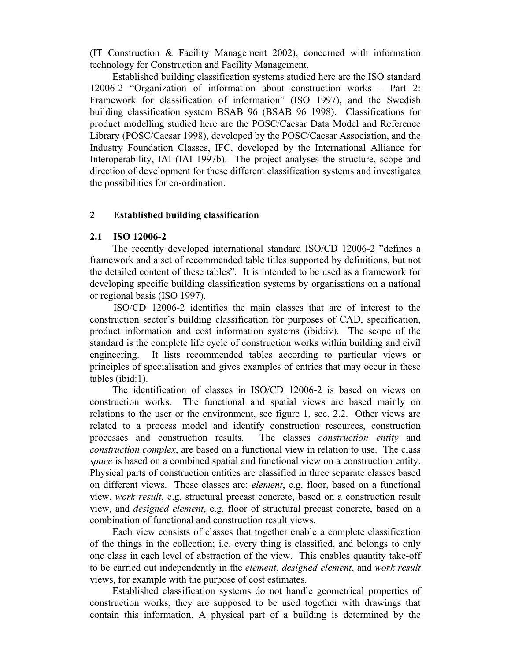(IT Construction & Facility Management 2002), concerned with information technology for Construction and Facility Management.

Established building classification systems studied here are the ISO standard 12006-2 "Organization of information about construction works – Part 2: Framework for classification of information" (ISO 1997), and the Swedish building classification system BSAB 96 (BSAB 96 1998). Classifications for product modelling studied here are the POSC/Caesar Data Model and Reference Library (POSC/Caesar 1998), developed by the POSC/Caesar Association, and the Industry Foundation Classes, IFC, developed by the International Alliance for Interoperability, IAI (IAI 1997b). The project analyses the structure, scope and direction of development for these different classification systems and investigates the possibilities for co-ordination.

#### **2 Established building classification**

#### **2.1 ISO 12006-2**

The recently developed international standard ISO/CD 12006-2 "defines a framework and a set of recommended table titles supported by definitions, but not the detailed content of these tables". It is intended to be used as a framework for developing specific building classification systems by organisations on a national or regional basis (ISO 1997).

ISO/CD 12006-2 identifies the main classes that are of interest to the construction sector's building classification for purposes of CAD, specification, product information and cost information systems (ibid:iv). The scope of the standard is the complete life cycle of construction works within building and civil engineering. It lists recommended tables according to particular views or principles of specialisation and gives examples of entries that may occur in these tables (ibid:1).

The identification of classes in ISO/CD 12006-2 is based on views on construction works. The functional and spatial views are based mainly on relations to the user or the environment, see figure 1, sec. 2.2. Other views are related to a process model and identify construction resources, construction processes and construction results. The classes *construction entity* and *construction complex*, are based on a functional view in relation to use. The class *space* is based on a combined spatial and functional view on a construction entity. Physical parts of construction entities are classified in three separate classes based on different views. These classes are: *element*, e.g. floor, based on a functional view, *work result*, e.g. structural precast concrete, based on a construction result view, and *designed element*, e.g. floor of structural precast concrete, based on a combination of functional and construction result views.

Each view consists of classes that together enable a complete classification of the things in the collection; i.e. every thing is classified, and belongs to only one class in each level of abstraction of the view. This enables quantity take-off to be carried out independently in the *element*, *designed element*, and *work result* views, for example with the purpose of cost estimates.

Established classification systems do not handle geometrical properties of construction works, they are supposed to be used together with drawings that contain this information. A physical part of a building is determined by the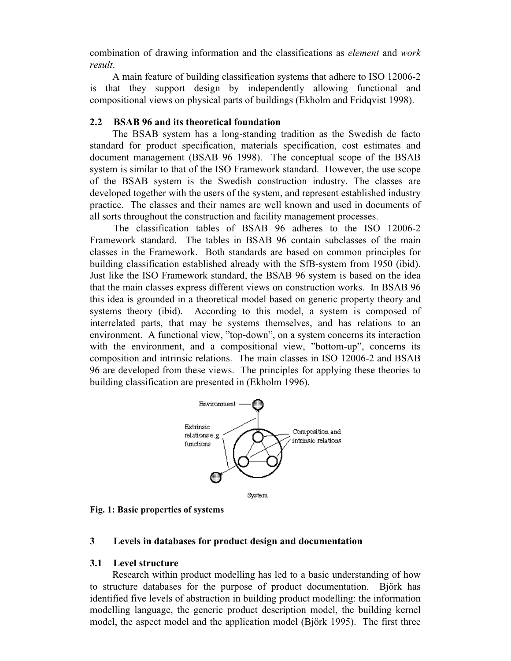combination of drawing information and the classifications as *element* and *work result*.

A main feature of building classification systems that adhere to ISO 12006-2 is that they support design by independently allowing functional and compositional views on physical parts of buildings (Ekholm and Fridqvist 1998).

# **2.2 BSAB 96 and its theoretical foundation**

The BSAB system has a long-standing tradition as the Swedish de facto standard for product specification, materials specification, cost estimates and document management (BSAB 96 1998). The conceptual scope of the BSAB system is similar to that of the ISO Framework standard. However, the use scope of the BSAB system is the Swedish construction industry. The classes are developed together with the users of the system, and represent established industry practice. The classes and their names are well known and used in documents of all sorts throughout the construction and facility management processes.

The classification tables of BSAB 96 adheres to the ISO 12006-2 Framework standard. The tables in BSAB 96 contain subclasses of the main classes in the Framework. Both standards are based on common principles for building classification established already with the SfB-system from 1950 (ibid). Just like the ISO Framework standard, the BSAB 96 system is based on the idea that the main classes express different views on construction works. In BSAB 96 this idea is grounded in a theoretical model based on generic property theory and systems theory (ibid). According to this model, a system is composed of interrelated parts, that may be systems themselves, and has relations to an environment. A functional view, "top-down", on a system concerns its interaction with the environment, and a compositional view, "bottom-up", concerns its composition and intrinsic relations. The main classes in ISO 12006-2 and BSAB 96 are developed from these views. The principles for applying these theories to building classification are presented in (Ekholm 1996).



**Fig. 1: Basic properties of systems**

# **3 Levels in databases for product design and documentation**

# **3.1 Level structure**

Research within product modelling has led to a basic understanding of how to structure databases for the purpose of product documentation. Björk has identified five levels of abstraction in building product modelling: the information modelling language, the generic product description model, the building kernel model, the aspect model and the application model (Björk 1995). The first three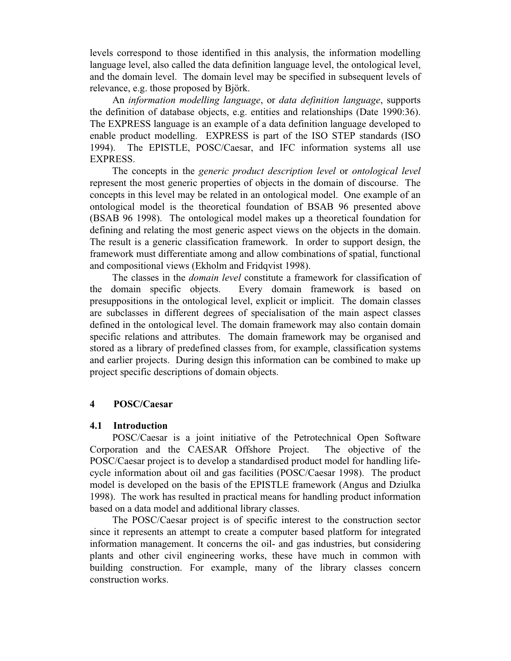levels correspond to those identified in this analysis, the information modelling language level, also called the data definition language level, the ontological level, and the domain level. The domain level may be specified in subsequent levels of relevance, e.g. those proposed by Björk.

An *information modelling language*, or *data definition language*, supports the definition of database objects, e.g. entities and relationships (Date 1990:36). The EXPRESS language is an example of a data definition language developed to enable product modelling. EXPRESS is part of the ISO STEP standards (ISO 1994). The EPISTLE, POSC/Caesar, and IFC information systems all use EXPRESS.

The concepts in the *generic product description level* or *ontological level* represent the most generic properties of objects in the domain of discourse. The concepts in this level may be related in an ontological model. One example of an ontological model is the theoretical foundation of BSAB 96 presented above (BSAB 96 1998). The ontological model makes up a theoretical foundation for defining and relating the most generic aspect views on the objects in the domain. The result is a generic classification framework. In order to support design, the framework must differentiate among and allow combinations of spatial, functional and compositional views (Ekholm and Fridqvist 1998).

The classes in the *domain level* constitute a framework for classification of the domain specific objects. Every domain framework is based on presuppositions in the ontological level, explicit or implicit. The domain classes are subclasses in different degrees of specialisation of the main aspect classes defined in the ontological level. The domain framework may also contain domain specific relations and attributes. The domain framework may be organised and stored as a library of predefined classes from, for example, classification systems and earlier projects. During design this information can be combined to make up project specific descriptions of domain objects.

# **4 POSC/Caesar**

# **4.1 Introduction**

POSC/Caesar is a joint initiative of the Petrotechnical Open Software Corporation and the CAESAR Offshore Project. The objective of the POSC/Caesar project is to develop a standardised product model for handling lifecycle information about oil and gas facilities (POSC/Caesar 1998). The product model is developed on the basis of the EPISTLE framework (Angus and Dziulka 1998). The work has resulted in practical means for handling product information based on a data model and additional library classes.

The POSC/Caesar project is of specific interest to the construction sector since it represents an attempt to create a computer based platform for integrated information management. It concerns the oil- and gas industries, but considering plants and other civil engineering works, these have much in common with building construction. For example, many of the library classes concern construction works.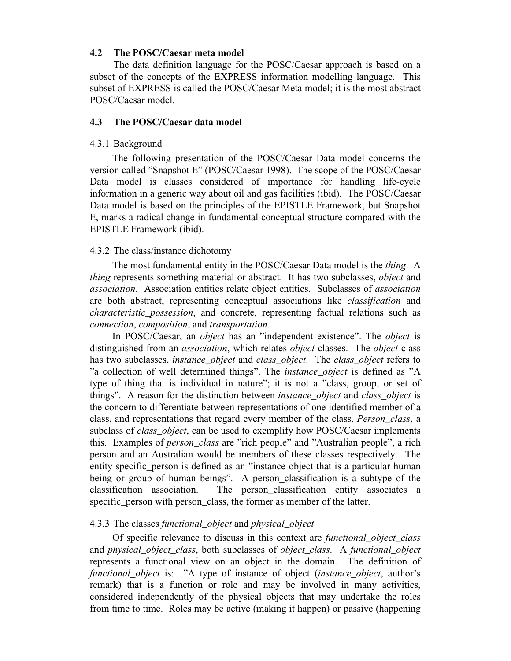### **4.2 The POSC/Caesar meta model**

The data definition language for the POSC/Caesar approach is based on a subset of the concepts of the EXPRESS information modelling language. This subset of EXPRESS is called the POSC/Caesar Meta model; it is the most abstract POSC/Caesar model.

#### **4.3 The POSC/Caesar data model**

#### 4.3.1 Background

The following presentation of the POSC/Caesar Data model concerns the version called "Snapshot E" (POSC/Caesar 1998). The scope of the POSC/Caesar Data model is classes considered of importance for handling life-cycle information in a generic way about oil and gas facilities (ibid). The POSC/Caesar Data model is based on the principles of the EPISTLE Framework, but Snapshot E, marks a radical change in fundamental conceptual structure compared with the EPISTLE Framework (ibid).

#### 4.3.2 The class/instance dichotomy

The most fundamental entity in the POSC/Caesar Data model is the *thing*. A *thing* represents something material or abstract. It has two subclasses, *object* and *association*. Association entities relate object entities. Subclasses of *association* are both abstract, representing conceptual associations like *classification* and *characteristic\_possession*, and concrete, representing factual relations such as *connection*, *composition*, and *transportation*.

In POSC/Caesar, an *object* has an "independent existence". The *object* is distinguished from an *association*, which relates *object* classes. The *object* class has two subclasses, *instance\_object* and *class\_object*. The *class\_object* refers to "a collection of well determined things". The *instance\_object* is defined as "A type of thing that is individual in nature"; it is not a "class, group, or set of things". A reason for the distinction between *instance\_object* and *class\_object* is the concern to differentiate between representations of one identified member of a class, and representations that regard every member of the class. *Person\_class*, a subclass of *class\_object*, can be used to exemplify how POSC/Caesar implements this. Examples of *person\_class* are "rich people" and "Australian people", a rich person and an Australian would be members of these classes respectively. The entity specific\_person is defined as an "instance object that is a particular human being or group of human beings". A person\_classification is a subtype of the classification association. The person\_classification entity associates a specific\_person with person\_class, the former as member of the latter.

#### 4.3.3 The classes *functional\_object* and *physical\_object*

Of specific relevance to discuss in this context are *functional\_object\_class* and *physical\_object\_class*, both subclasses of *object\_class*. A *functional\_object* represents a functional view on an object in the domain. The definition of *functional\_object* is: "A type of instance of object (*instance\_object*, author's remark) that is a function or role and may be involved in many activities, considered independently of the physical objects that may undertake the roles from time to time. Roles may be active (making it happen) or passive (happening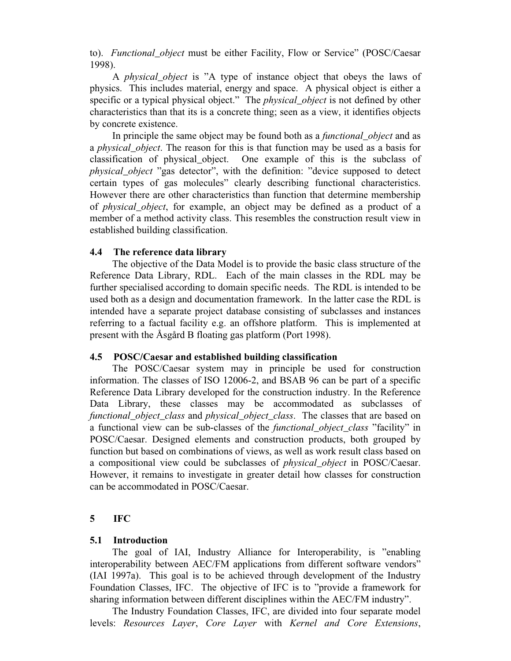to). *Functional\_object* must be either Facility, Flow or Service" (POSC/Caesar 1998).

A *physical\_object* is "A type of instance object that obeys the laws of physics. This includes material, energy and space. A physical object is either a specific or a typical physical object." The *physical\_object* is not defined by other characteristics than that its is a concrete thing; seen as a view, it identifies objects by concrete existence.

In principle the same object may be found both as a *functional\_object* and as a *physical\_object*. The reason for this is that function may be used as a basis for classification of physical\_object. One example of this is the subclass of *physical\_object* "gas detector", with the definition: "device supposed to detect certain types of gas molecules" clearly describing functional characteristics. However there are other characteristics than function that determine membership of *physical\_object*, for example, an object may be defined as a product of a member of a method activity class. This resembles the construction result view in established building classification.

### **4.4 The reference data library**

The objective of the Data Model is to provide the basic class structure of the Reference Data Library, RDL. Each of the main classes in the RDL may be further specialised according to domain specific needs. The RDL is intended to be used both as a design and documentation framework. In the latter case the RDL is intended have a separate project database consisting of subclasses and instances referring to a factual facility e.g. an offshore platform. This is implemented at present with the Åsgård B floating gas platform (Port 1998).

# **4.5 POSC/Caesar and established building classification**

The POSC/Caesar system may in principle be used for construction information. The classes of ISO 12006-2, and BSAB 96 can be part of a specific Reference Data Library developed for the construction industry. In the Reference Data Library, these classes may be accommodated as subclasses of *functional\_object\_class* and *physical\_object\_class*. The classes that are based on a functional view can be sub-classes of the *functional\_object\_class* "facility" in POSC/Caesar. Designed elements and construction products, both grouped by function but based on combinations of views, as well as work result class based on a compositional view could be subclasses of *physical\_object* in POSC/Caesar. However, it remains to investigate in greater detail how classes for construction can be accommodated in POSC/Caesar.

# **5 IFC**

# **5.1 Introduction**

The goal of IAI, Industry Alliance for Interoperability, is "enabling interoperability between AEC/FM applications from different software vendors" (IAI 1997a). This goal is to be achieved through development of the Industry Foundation Classes, IFC. The objective of IFC is to "provide a framework for sharing information between different disciplines within the AEC/FM industry".

The Industry Foundation Classes, IFC, are divided into four separate model levels: *Resources Layer*, *Core Layer* with *Kernel and Core Extensions*,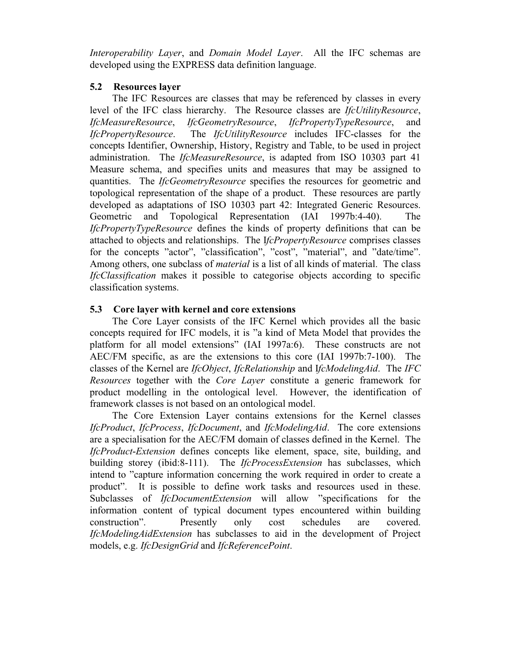*Interoperability Layer*, and *Domain Model Layer*. All the IFC schemas are developed using the EXPRESS data definition language.

# **5.2 Resources layer**

The IFC Resources are classes that may be referenced by classes in every level of the IFC class hierarchy. The Resource classes are *IfcUtilityResource*, *IfcMeasureResource*, *IfcGeometryResource*, *IfcPropertyTypeResource*, and *IfcPropertyResource*. The *IfcUtilityResource* includes IFC-classes for the concepts Identifier, Ownership, History, Registry and Table, to be used in project administration. The *IfcMeasureResource*, is adapted from ISO 10303 part 41 Measure schema, and specifies units and measures that may be assigned to quantities. The *IfcGeometryResource* specifies the resources for geometric and topological representation of the shape of a product. These resources are partly developed as adaptations of ISO 10303 part 42: Integrated Generic Resources. Geometric and Topological Representation (IAI 1997b:4-40). The *IfcPropertyTypeResource* defines the kinds of property definitions that can be attached to objects and relationships. The I*fcPropertyResource* comprises classes for the concepts "actor", "classification", "cost", "material", and "date/time". Among others, one subclass of *material* is a list of all kinds of material. The class *IfcClassification* makes it possible to categorise objects according to specific classification systems.

# **5.3 Core layer with kernel and core extensions**

The Core Layer consists of the IFC Kernel which provides all the basic concepts required for IFC models, it is "a kind of Meta Model that provides the platform for all model extensions" (IAI 1997a:6). These constructs are not AEC/FM specific, as are the extensions to this core (IAI 1997b:7-100). The classes of the Kernel are *IfcObject*, *IfcRelationship* and I*fcModelingAid*. The *IFC Resources* together with the *Core Layer* constitute a generic framework for product modelling in the ontological level. However, the identification of framework classes is not based on an ontological model.

The Core Extension Layer contains extensions for the Kernel classes *IfcProduct*, *IfcProcess*, *IfcDocument*, and *IfcModelingAid*. The core extensions are a specialisation for the AEC/FM domain of classes defined in the Kernel. The *IfcProduct*-*Extension* defines concepts like element, space, site, building, and building storey (ibid:8-111). The *IfcProcessExtension* has subclasses, which intend to "capture information concerning the work required in order to create a product". It is possible to define work tasks and resources used in these. Subclasses of *IfcDocumentExtension* will allow "specifications for the information content of typical document types encountered within building construction". Presently only cost schedules are covered. *IfcModelingAidExtension* has subclasses to aid in the development of Project models, e.g. *IfcDesignGrid* and *IfcReferencePoint*.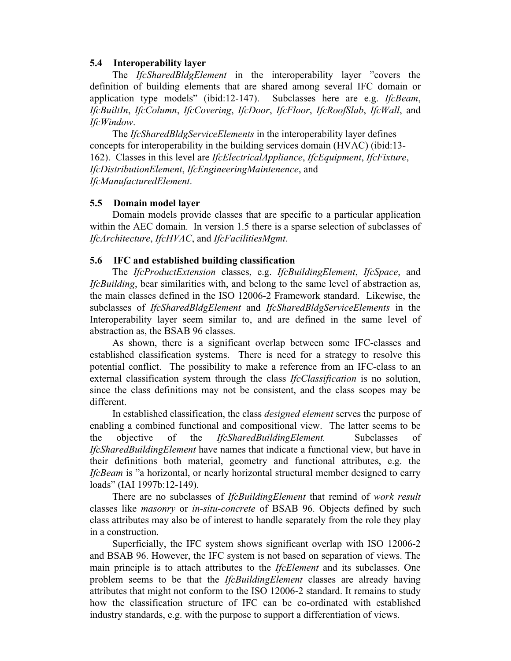#### **5.4 Interoperability layer**

The *IfcSharedBldgElement* in the interoperability layer "covers the definition of building elements that are shared among several IFC domain or application type models" (ibid:12-147). Subclasses here are e.g. *IfcBeam*, *IfcBuiltIn*, *IfcColumn*, *IfcCovering*, *IfcDoor*, *IfcFloor*, *IfcRoofSlab*, *IfcWall*, and *IfcWindow*.

The *IfcSharedBldgServiceElements* in the interoperability layer defines concepts for interoperability in the building services domain (HVAC) (ibid:13- 162). Classes in this level are *IfcElectricalAppliance*, *IfcEquipment*, *IfcFixture*, *IfcDistributionElement*, *IfcEngineeringMaintenence*, and *IfcManufacturedElement*.

#### **5.5 Domain model layer**

Domain models provide classes that are specific to a particular application within the AEC domain. In version 1.5 there is a sparse selection of subclasses of *IfcArchitecture*, *IfcHVAC*, and *IfcFacilitiesMgmt*.

#### **5.6 IFC and established building classification**

The *IfcProductExtension* classes, e.g. *IfcBuildingElement*, *IfcSpace*, and *IfcBuilding*, bear similarities with, and belong to the same level of abstraction as, the main classes defined in the ISO 12006-2 Framework standard. Likewise, the subclasses of *IfcSharedBldgElement* and *IfcSharedBldgServiceElements* in the Interoperability layer seem similar to, and are defined in the same level of abstraction as, the BSAB 96 classes.

As shown, there is a significant overlap between some IFC-classes and established classification systems. There is need for a strategy to resolve this potential conflict. The possibility to make a reference from an IFC-class to an external classification system through the class *IfcClassification* is no solution, since the class definitions may not be consistent, and the class scopes may be different.

In established classification, the class *designed element* serves the purpose of enabling a combined functional and compositional view. The latter seems to be the objective of the *IfcSharedBuildingElement.* Subclasses of *IfcSharedBuildingElement* have names that indicate a functional view, but have in their definitions both material, geometry and functional attributes, e.g. the *IfcBeam* is "a horizontal, or nearly horizontal structural member designed to carry loads" (IAI 1997b:12-149).

There are no subclasses of *IfcBuildingElement* that remind of *work result* classes like *masonry* or *in-situ-concrete* of BSAB 96. Objects defined by such class attributes may also be of interest to handle separately from the role they play in a construction.

Superficially, the IFC system shows significant overlap with ISO 12006-2 and BSAB 96. However, the IFC system is not based on separation of views. The main principle is to attach attributes to the *IfcElement* and its subclasses. One problem seems to be that the *IfcBuildingElement* classes are already having attributes that might not conform to the ISO 12006-2 standard. It remains to study how the classification structure of IFC can be co-ordinated with established industry standards, e.g. with the purpose to support a differentiation of views.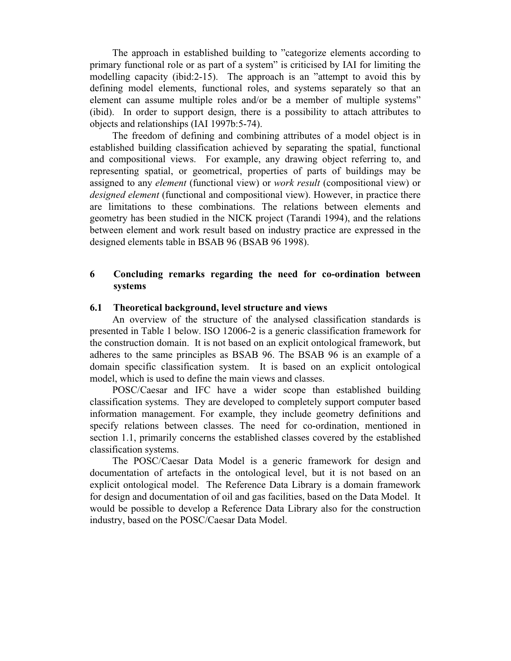The approach in established building to "categorize elements according to primary functional role or as part of a system" is criticised by IAI for limiting the modelling capacity (ibid:2-15). The approach is an "attempt to avoid this by defining model elements, functional roles, and systems separately so that an element can assume multiple roles and/or be a member of multiple systems" (ibid). In order to support design, there is a possibility to attach attributes to objects and relationships (IAI 1997b:5-74).

The freedom of defining and combining attributes of a model object is in established building classification achieved by separating the spatial, functional and compositional views. For example, any drawing object referring to, and representing spatial, or geometrical, properties of parts of buildings may be assigned to any *element* (functional view) or *work result* (compositional view) or *designed element* (functional and compositional view). However, in practice there are limitations to these combinations. The relations between elements and geometry has been studied in the NICK project (Tarandi 1994), and the relations between element and work result based on industry practice are expressed in the designed elements table in BSAB 96 (BSAB 96 1998).

# **6 Concluding remarks regarding the need for co-ordination between systems**

# **6.1 Theoretical background, level structure and views**

An overview of the structure of the analysed classification standards is presented in Table 1 below. ISO 12006-2 is a generic classification framework for the construction domain. It is not based on an explicit ontological framework, but adheres to the same principles as BSAB 96. The BSAB 96 is an example of a domain specific classification system. It is based on an explicit ontological model, which is used to define the main views and classes.

POSC/Caesar and IFC have a wider scope than established building classification systems. They are developed to completely support computer based information management. For example, they include geometry definitions and specify relations between classes. The need for co-ordination, mentioned in section 1.1, primarily concerns the established classes covered by the established classification systems.

The POSC/Caesar Data Model is a generic framework for design and documentation of artefacts in the ontological level, but it is not based on an explicit ontological model. The Reference Data Library is a domain framework for design and documentation of oil and gas facilities, based on the Data Model. It would be possible to develop a Reference Data Library also for the construction industry, based on the POSC/Caesar Data Model.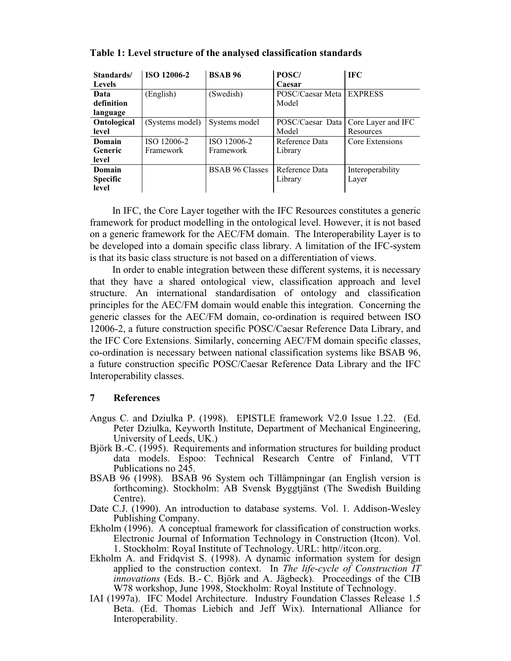| Standards/      | <b>ISO 12006-2</b> | <b>BSAB 96</b>         | POSC/            | <b>IFC</b>         |
|-----------------|--------------------|------------------------|------------------|--------------------|
| <b>Levels</b>   |                    |                        | Caesar           |                    |
| Data            | (English)          | (Swedish)              | POSC/Caesar Meta | <b>EXPRESS</b>     |
| definition      |                    |                        | Model            |                    |
| language        |                    |                        |                  |                    |
| Ontological     | (Systems model)    | Systems model          | POSC/Caesar Data | Core Layer and IFC |
| level           |                    |                        | Model            | Resources          |
| Domain          | ISO 12006-2        | ISO 12006-2            | Reference Data   | Core Extensions    |
| <b>Generic</b>  | Framework          | Framework              | Library          |                    |
| level           |                    |                        |                  |                    |
| Domain          |                    | <b>BSAB 96 Classes</b> | Reference Data   | Interoperability   |
| <b>Specific</b> |                    |                        | Library          | Layer              |
| level           |                    |                        |                  |                    |

**Table 1: Level structure of the analysed classification standards**

In IFC, the Core Layer together with the IFC Resources constitutes a generic framework for product modelling in the ontological level. However, it is not based on a generic framework for the AEC/FM domain. The Interoperability Layer is to be developed into a domain specific class library. A limitation of the IFC-system is that its basic class structure is not based on a differentiation of views.

In order to enable integration between these different systems, it is necessary that they have a shared ontological view, classification approach and level structure. An international standardisation of ontology and classification principles for the AEC/FM domain would enable this integration. Concerning the generic classes for the AEC/FM domain, co-ordination is required between ISO 12006-2, a future construction specific POSC/Caesar Reference Data Library, and the IFC Core Extensions. Similarly, concerning AEC/FM domain specific classes, co-ordination is necessary between national classification systems like BSAB 96, a future construction specific POSC/Caesar Reference Data Library and the IFC Interoperability classes.

# **7 References**

- Angus C. and Dziulka P. (1998). EPISTLE framework V2.0 Issue 1.22. (Ed. Peter Dziulka, Keyworth Institute, Department of Mechanical Engineering, University of Leeds, UK.)
- Björk B.-C. (1995). Requirements and information structures for building product data models. Espoo: Technical Research Centre of Finland, VTT Publications no 245.
- BSAB 96 (1998). BSAB 96 System och Tillämpningar (an English version is forthcoming). Stockholm: AB Svensk Byggtjänst (The Swedish Building Centre).
- Date C.J. (1990). An introduction to database systems. Vol. 1. Addison-Wesley Publishing Company.
- Ekholm (1996). A conceptual framework for classification of construction works. Electronic Journal of Information Technology in Construction (Itcon). Vol. 1. Stockholm: Royal Institute of Technology. URL: http//itcon.org.
- Ekholm A. and Fridqvist S. (1998). A dynamic information system for design applied to the construction context. In *The life-cycle of Construction IT innovations* (Eds. B.- C. Björk and A. Jägbeck). Proceedings of the CIB W78 workshop, June 1998, Stockholm: Royal Institute of Technology.
- IAI (1997a). IFC Model Architecture. Industry Foundation Classes Release 1.5 Beta. (Ed. Thomas Liebich and Jeff Wix). International Alliance for Interoperability.